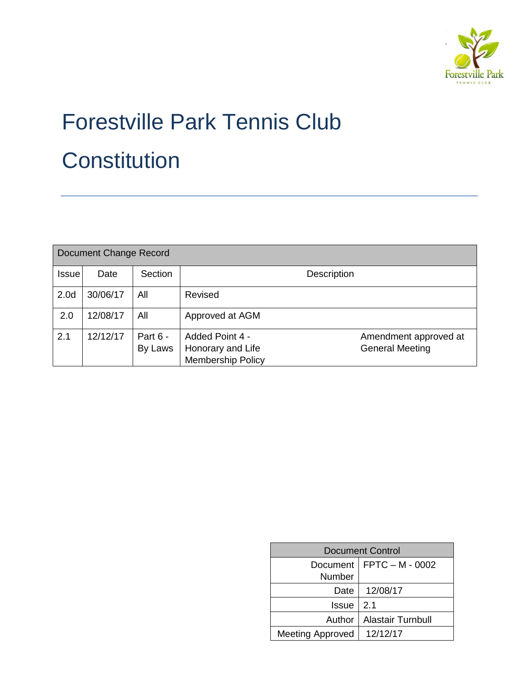

# Forestville Park Tennis Club **Constitution**

| Document Change Record |          |                     |                                                                  |                                                 |  |  |  |
|------------------------|----------|---------------------|------------------------------------------------------------------|-------------------------------------------------|--|--|--|
| <b>Issue</b>           | Date     | Section             |                                                                  | <b>Description</b>                              |  |  |  |
| 2.0 <sub>d</sub>       | 30/06/17 | All                 | Revised                                                          |                                                 |  |  |  |
| 2.0                    | 12/08/17 | All                 | Approved at AGM                                                  |                                                 |  |  |  |
| 2.1                    | 12/12/17 | Part 6 -<br>By Laws | Added Point 4 -<br>Honorary and Life<br><b>Membership Policy</b> | Amendment approved at<br><b>General Meeting</b> |  |  |  |

| <b>Document Control</b>   |                          |  |  |  |
|---------------------------|--------------------------|--|--|--|
| Document<br><b>Number</b> | FPTC – M - 0002          |  |  |  |
| Date                      | 12/08/17                 |  |  |  |
| Issue                     | 12.1                     |  |  |  |
| Author                    | <b>Alastair Turnbull</b> |  |  |  |
| <b>Meeting Approved</b>   | 12/12/17                 |  |  |  |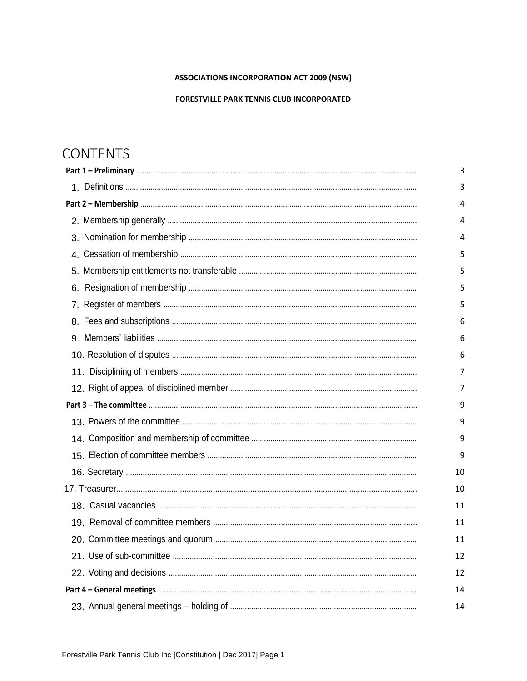#### **ASSOCIATIONS INCORPORATION ACT 2009 (NSW)**

#### **FORESTVILLE PARK TENNIS CLUB INCORPORATED**

## **CONTENTS**

|  | 3  |  |
|--|----|--|
|  | 3  |  |
|  |    |  |
|  | 4  |  |
|  | 4  |  |
|  | 5  |  |
|  | 5  |  |
|  | 5  |  |
|  | 5  |  |
|  | 6  |  |
|  | 6  |  |
|  | 6  |  |
|  | 7  |  |
|  | 7  |  |
|  | 9  |  |
|  | 9  |  |
|  | 9  |  |
|  | 9  |  |
|  | 10 |  |
|  | 10 |  |
|  | 11 |  |
|  | 11 |  |
|  | 11 |  |
|  | 12 |  |
|  | 12 |  |
|  |    |  |
|  | 14 |  |
|  |    |  |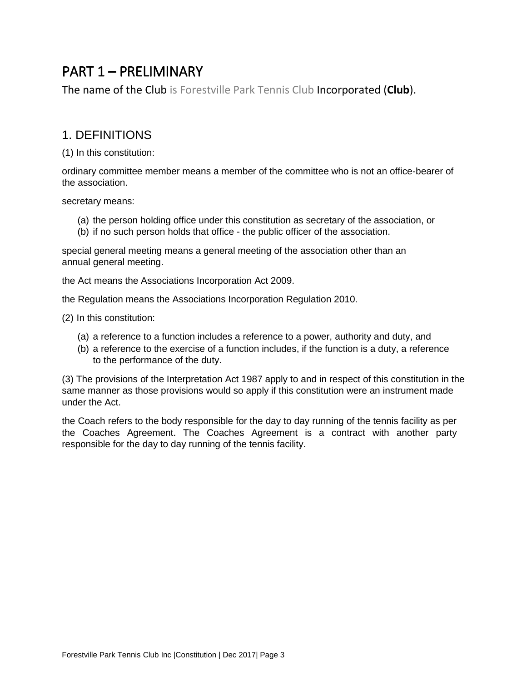# <span id="page-3-0"></span>PART 1 – PRELIMINARY

The name of the Club is Forestville Park Tennis Club Incorporated (**Club**).

#### 1. DEFINITIONS

(1) In this constitution:

ordinary committee member means a member of the committee who is not an office-bearer of the association.

secretary means:

- (a) the person holding office under this constitution as secretary of the association, or
- (b) if no such person holds that office the public officer of the association.

special general meeting means a general meeting of the association other than an annual general meeting.

the Act means the Associations Incorporation Act 2009.

the Regulation means the Associations Incorporation Regulation 2010.

(2) In this constitution:

- (a) a reference to a function includes a reference to a power, authority and duty, and
- (b) a reference to the exercise of a function includes, if the function is a duty, a reference to the performance of the duty.

(3) The provisions of the Interpretation Act 1987 apply to and in respect of this constitution in the same manner as those provisions would so apply if this constitution were an instrument made under the Act.

the Coach refers to the body responsible for the day to day running of the tennis facility as per the Coaches Agreement. The Coaches Agreement is a contract with another party responsible for the day to day running of the tennis facility.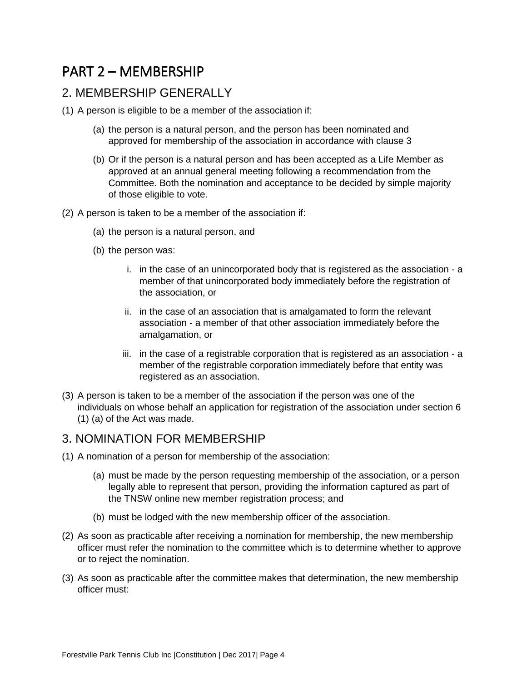## <span id="page-4-0"></span>PART 2 – MEMBERSHIP

#### 2. MEMBERSHIP GENERALLY

- (1) A person is eligible to be a member of the association if:
	- (a) the person is a natural person, and the person has been nominated and approved for membership of the association in accordance with clause 3
	- (b) Or if the person is a natural person and has been accepted as a Life Member as approved at an annual general meeting following a recommendation from the Committee. Both the nomination and acceptance to be decided by simple majority of those eligible to vote.
- (2) A person is taken to be a member of the association if:
	- (a) the person is a natural person, and
	- (b) the person was:
		- i. in the case of an unincorporated body that is registered as the association a member of that unincorporated body immediately before the registration of the association, or
		- ii. in the case of an association that is amalgamated to form the relevant association - a member of that other association immediately before the amalgamation, or
		- iii. in the case of a registrable corporation that is registered as an association a member of the registrable corporation immediately before that entity was registered as an association.
- (3) A person is taken to be a member of the association if the person was one of the individuals on whose behalf an application for registration of the association under section 6 (1) (a) of the Act was made.

#### 3. NOMINATION FOR MEMBERSHIP

- (1) A nomination of a person for membership of the association:
	- (a) must be made by the person requesting membership of the association, or a person legally able to represent that person, providing the information captured as part of the TNSW online new member registration process; and
	- (b) must be lodged with the new membership officer of the association.
- (2) As soon as practicable after receiving a nomination for membership, the new membership officer must refer the nomination to the committee which is to determine whether to approve or to reject the nomination.
- (3) As soon as practicable after the committee makes that determination, the new membership officer must: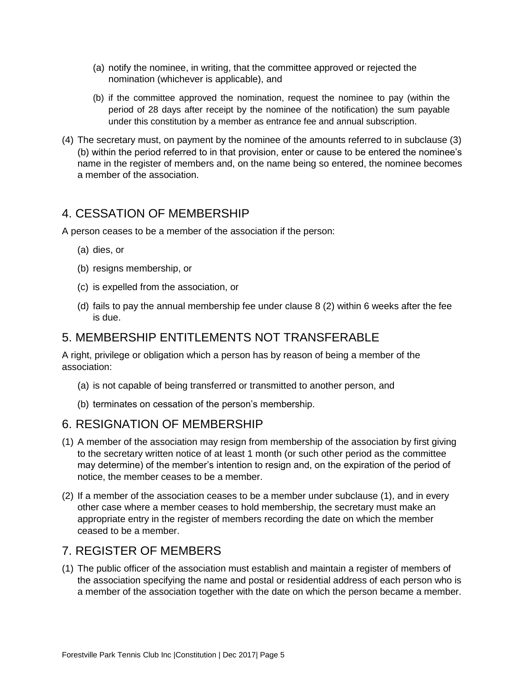- <span id="page-5-0"></span>(a) notify the nominee, in writing, that the committee approved or rejected the nomination (whichever is applicable), and
- (b) if the committee approved the nomination, request the nominee to pay (within the period of 28 days after receipt by the nominee of the notification) the sum payable under this constitution by a member as entrance fee and annual subscription.
- (4) The secretary must, on payment by the nominee of the amounts referred to in subclause (3) (b) within the period referred to in that provision, enter or cause to be entered the nominee's name in the register of members and, on the name being so entered, the nominee becomes a member of the association.

#### 4. CESSATION OF MEMBERSHIP

A person ceases to be a member of the association if the person:

- (a) dies, or
- (b) resigns membership, or
- (c) is expelled from the association, or
- (d) fails to pay the annual membership fee under clause 8 (2) within 6 weeks after the fee is due.

#### 5. MEMBERSHIP ENTITLEMENTS NOT TRANSFERABLE

A right, privilege or obligation which a person has by reason of being a member of the association:

- (a) is not capable of being transferred or transmitted to another person, and
- (b) terminates on cessation of the person's membership.

#### 6. RESIGNATION OF MEMBERSHIP

- (1) A member of the association may resign from membership of the association by first giving to the secretary written notice of at least 1 month (or such other period as the committee may determine) of the member's intention to resign and, on the expiration of the period of notice, the member ceases to be a member.
- (2) If a member of the association ceases to be a member under subclause (1), and in every other case where a member ceases to hold membership, the secretary must make an appropriate entry in the register of members recording the date on which the member ceased to be a member.

#### 7. REGISTER OF MEMBERS

(1) The public officer of the association must establish and maintain a register of members of the association specifying the name and postal or residential address of each person who is a member of the association together with the date on which the person became a member.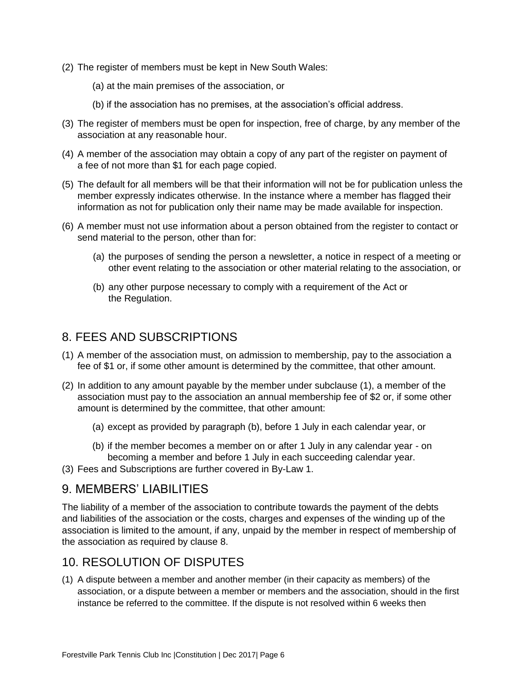- <span id="page-6-0"></span>(2) The register of members must be kept in New South Wales:
	- (a) at the main premises of the association, or
	- (b) if the association has no premises, at the association's official address.
- (3) The register of members must be open for inspection, free of charge, by any member of the association at any reasonable hour.
- (4) A member of the association may obtain a copy of any part of the register on payment of a fee of not more than \$1 for each page copied.
- (5) The default for all members will be that their information will not be for publication unless the member expressly indicates otherwise. In the instance where a member has flagged their information as not for publication only their name may be made available for inspection.
- (6) A member must not use information about a person obtained from the register to contact or send material to the person, other than for:
	- (a) the purposes of sending the person a newsletter, a notice in respect of a meeting or other event relating to the association or other material relating to the association, or
	- (b) any other purpose necessary to comply with a requirement of the Act or the Regulation.

#### 8. FEES AND SUBSCRIPTIONS

- (1) A member of the association must, on admission to membership, pay to the association a fee of \$1 or, if some other amount is determined by the committee, that other amount.
- (2) In addition to any amount payable by the member under subclause (1), a member of the association must pay to the association an annual membership fee of \$2 or, if some other amount is determined by the committee, that other amount:
	- (a) except as provided by paragraph (b), before 1 July in each calendar year, or
	- (b) if the member becomes a member on or after 1 July in any calendar year on becoming a member and before 1 July in each succeeding calendar year.
- (3) Fees and Subscriptions are further covered in By-Law 1.

#### 9. MEMBERS' LIABILITIES

The liability of a member of the association to contribute towards the payment of the debts and liabilities of the association or the costs, charges and expenses of the winding up of the association is limited to the amount, if any, unpaid by the member in respect of membership of the association as required by clause 8.

#### 10. RESOLUTION OF DISPUTES

(1) A dispute between a member and another member (in their capacity as members) of the association, or a dispute between a member or members and the association, should in the first instance be referred to the committee. If the dispute is not resolved within 6 weeks then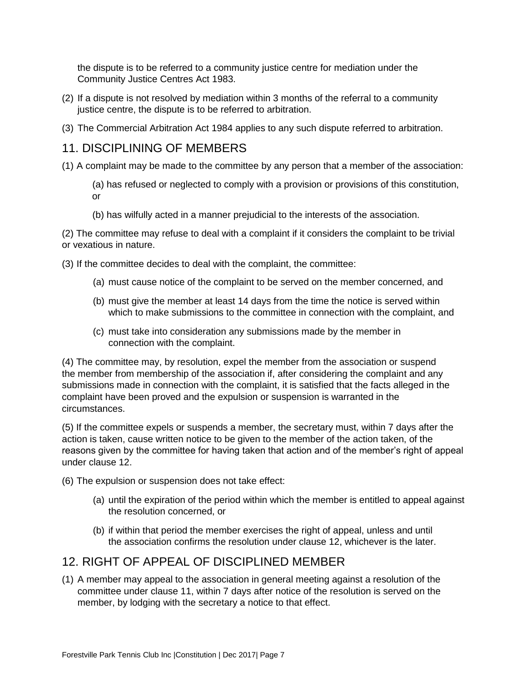<span id="page-7-0"></span>the dispute is to be referred to a community justice centre for mediation under the Community Justice Centres Act 1983.

- (2) If a dispute is not resolved by mediation within 3 months of the referral to a community justice centre, the dispute is to be referred to arbitration.
- (3) The Commercial Arbitration Act 1984 applies to any such dispute referred to arbitration.

#### 11. DISCIPLINING OF MEMBERS

- (1) A complaint may be made to the committee by any person that a member of the association:
	- (a) has refused or neglected to comply with a provision or provisions of this constitution, or
	- (b) has wilfully acted in a manner prejudicial to the interests of the association.

(2) The committee may refuse to deal with a complaint if it considers the complaint to be trivial or vexatious in nature.

(3) If the committee decides to deal with the complaint, the committee:

- (a) must cause notice of the complaint to be served on the member concerned, and
- (b) must give the member at least 14 days from the time the notice is served within which to make submissions to the committee in connection with the complaint, and
- (c) must take into consideration any submissions made by the member in connection with the complaint.

(4) The committee may, by resolution, expel the member from the association or suspend the member from membership of the association if, after considering the complaint and any submissions made in connection with the complaint, it is satisfied that the facts alleged in the complaint have been proved and the expulsion or suspension is warranted in the circumstances.

(5) If the committee expels or suspends a member, the secretary must, within 7 days after the action is taken, cause written notice to be given to the member of the action taken, of the reasons given by the committee for having taken that action and of the member's right of appeal under clause 12.

(6) The expulsion or suspension does not take effect:

- (a) until the expiration of the period within which the member is entitled to appeal against the resolution concerned, or
- (b) if within that period the member exercises the right of appeal, unless and until the association confirms the resolution under clause 12, whichever is the later.

#### 12. RIGHT OF APPEAL OF DISCIPLINED MEMBER

(1) A member may appeal to the association in general meeting against a resolution of the committee under clause 11, within 7 days after notice of the resolution is served on the member, by lodging with the secretary a notice to that effect.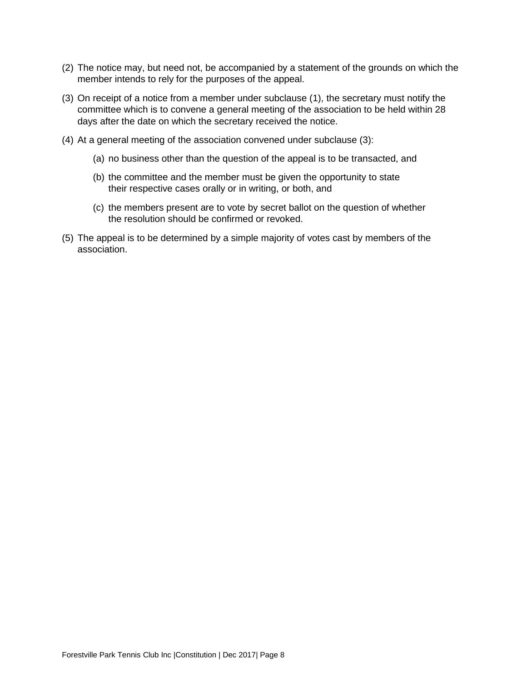- (2) The notice may, but need not, be accompanied by a statement of the grounds on which the member intends to rely for the purposes of the appeal.
- (3) On receipt of a notice from a member under subclause (1), the secretary must notify the committee which is to convene a general meeting of the association to be held within 28 days after the date on which the secretary received the notice.
- (4) At a general meeting of the association convened under subclause (3):
	- (a) no business other than the question of the appeal is to be transacted, and
	- (b) the committee and the member must be given the opportunity to state their respective cases orally or in writing, or both, and
	- (c) the members present are to vote by secret ballot on the question of whether the resolution should be confirmed or revoked.
- (5) The appeal is to be determined by a simple majority of votes cast by members of the association.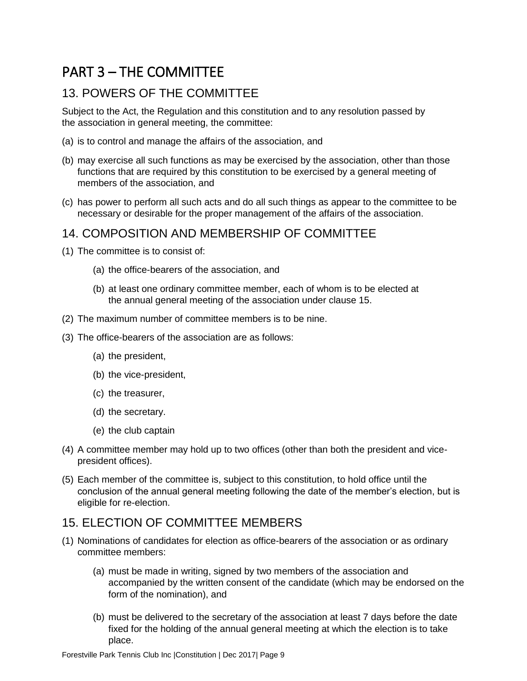# <span id="page-9-0"></span>PART 3 – THE COMMITTEE

## 13. POWERS OF THE COMMITTEE

Subject to the Act, the Regulation and this constitution and to any resolution passed by the association in general meeting, the committee:

- (a) is to control and manage the affairs of the association, and
- (b) may exercise all such functions as may be exercised by the association, other than those functions that are required by this constitution to be exercised by a general meeting of members of the association, and
- (c) has power to perform all such acts and do all such things as appear to the committee to be necessary or desirable for the proper management of the affairs of the association.

#### 14. COMPOSITION AND MEMBERSHIP OF COMMITTEE

- (1) The committee is to consist of:
	- (a) the office-bearers of the association, and
	- (b) at least one ordinary committee member, each of whom is to be elected at the annual general meeting of the association under clause 15.
- (2) The maximum number of committee members is to be nine.
- (3) The office-bearers of the association are as follows:
	- (a) the president,
	- (b) the vice-president,
	- (c) the treasurer,
	- (d) the secretary.
	- (e) the club captain
- (4) A committee member may hold up to two offices (other than both the president and vicepresident offices).
- (5) Each member of the committee is, subject to this constitution, to hold office until the conclusion of the annual general meeting following the date of the member's election, but is eligible for re-election.

#### 15. ELECTION OF COMMITTEE MEMBERS

- <span id="page-9-1"></span>(1) Nominations of candidates for election as office-bearers of the association or as ordinary committee members:
	- (a) must be made in writing, signed by two members of the association and accompanied by the written consent of the candidate (which may be endorsed on the form of the nomination), and
	- (b) must be delivered to the secretary of the association at least 7 days before the date fixed for the holding of the annual general meeting at which the election is to take place.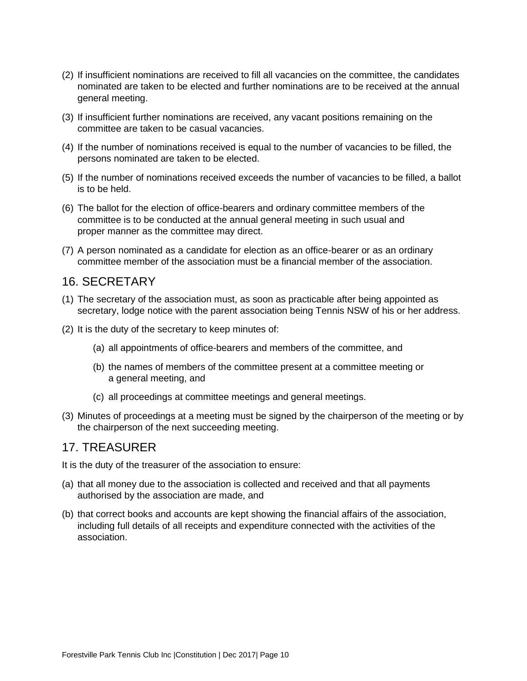- (2) If insufficient nominations are received to fill all vacancies on the committee, the candidates nominated are taken to be elected and further nominations are to be received at the annual general meeting.
- (3) If insufficient further nominations are received, any vacant positions remaining on the committee are taken to be casual vacancies.
- (4) If the number of nominations received is equal to the number of vacancies to be filled, the persons nominated are taken to be elected.
- (5) If the number of nominations received exceeds the number of vacancies to be filled, a ballot is to be held.
- (6) The ballot for the election of office-bearers and ordinary committee members of the committee is to be conducted at the annual general meeting in such usual and proper manner as the committee may direct.
- (7) A person nominated as a candidate for election as an office-bearer or as an ordinary committee member of the association must be a financial member of the association.

#### 16. SECRETARY

- (1) The secretary of the association must, as soon as practicable after being appointed as secretary, lodge notice with the parent association being Tennis NSW of his or her address.
- (2) It is the duty of the secretary to keep minutes of:
	- (a) all appointments of office-bearers and members of the committee, and
	- (b) the names of members of the committee present at a committee meeting or a general meeting, and
	- (c) all proceedings at committee meetings and general meetings.
- (3) Minutes of proceedings at a meeting must be signed by the chairperson of the meeting or by the chairperson of the next succeeding meeting.

#### 17. TREASURER

It is the duty of the treasurer of the association to ensure:

- (a) that all money due to the association is collected and received and that all payments authorised by the association are made, and
- (b) that correct books and accounts are kept showing the financial affairs of the association, including full details of all receipts and expenditure connected with the activities of the association.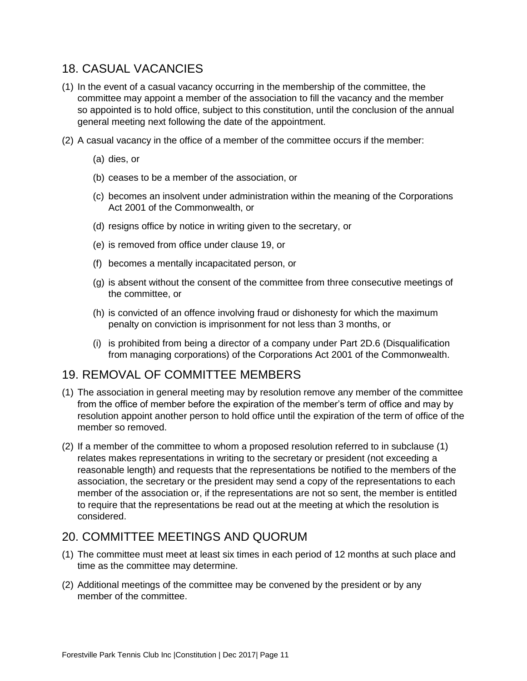#### <span id="page-11-0"></span>18. CASUAL VACANCIES

- (1) In the event of a casual vacancy occurring in the membership of the committee, the committee may appoint a member of the association to fill the vacancy and the member so appointed is to hold office, subject to this constitution, until the conclusion of the annual general meeting next following the date of the appointment.
- (2) A casual vacancy in the office of a member of the committee occurs if the member:
	- (a) dies, or
	- (b) ceases to be a member of the association, or
	- (c) becomes an insolvent under administration within the meaning of the Corporations Act 2001 of the Commonwealth, or
	- (d) resigns office by notice in writing given to the secretary, or
	- (e) is removed from office under clause 19, or
	- (f) becomes a mentally incapacitated person, or
	- (g) is absent without the consent of the committee from three consecutive meetings of the committee, or
	- (h) is convicted of an offence involving fraud or dishonesty for which the maximum penalty on conviction is imprisonment for not less than 3 months, or
	- (i) is prohibited from being a director of a company under Part 2D.6 (Disqualification from managing corporations) of the Corporations Act 2001 of the Commonwealth.

#### 19. REMOVAL OF COMMITTEE MEMBERS

- (1) The association in general meeting may by resolution remove any member of the committee from the office of member before the expiration of the member's term of office and may by resolution appoint another person to hold office until the expiration of the term of office of the member so removed.
- (2) If a member of the committee to whom a proposed resolution referred to in subclause (1) relates makes representations in writing to the secretary or president (not exceeding a reasonable length) and requests that the representations be notified to the members of the association, the secretary or the president may send a copy of the representations to each member of the association or, if the representations are not so sent, the member is entitled to require that the representations be read out at the meeting at which the resolution is considered.

#### 20. COMMITTEE MEETINGS AND QUORUM

- (1) The committee must meet at least six times in each period of 12 months at such place and time as the committee may determine.
- (2) Additional meetings of the committee may be convened by the president or by any member of the committee.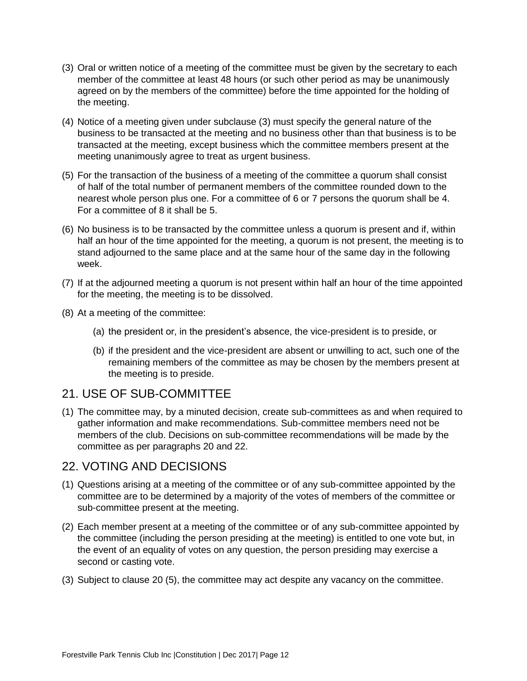- <span id="page-12-0"></span>(3) Oral or written notice of a meeting of the committee must be given by the secretary to each member of the committee at least 48 hours (or such other period as may be unanimously agreed on by the members of the committee) before the time appointed for the holding of the meeting.
- (4) Notice of a meeting given under subclause (3) must specify the general nature of the business to be transacted at the meeting and no business other than that business is to be transacted at the meeting, except business which the committee members present at the meeting unanimously agree to treat as urgent business.
- (5) For the transaction of the business of a meeting of the committee a quorum shall consist of half of the total number of permanent members of the committee rounded down to the nearest whole person plus one. For a committee of 6 or 7 persons the quorum shall be 4. For a committee of 8 it shall be 5.
- (6) No business is to be transacted by the committee unless a quorum is present and if, within half an hour of the time appointed for the meeting, a quorum is not present, the meeting is to stand adjourned to the same place and at the same hour of the same day in the following week.
- (7) If at the adjourned meeting a quorum is not present within half an hour of the time appointed for the meeting, the meeting is to be dissolved.
- (8) At a meeting of the committee:
	- (a) the president or, in the president's absence, the vice-president is to preside, or
	- (b) if the president and the vice-president are absent or unwilling to act, such one of the remaining members of the committee as may be chosen by the members present at the meeting is to preside.

#### 21. USE OF SUB-COMMITTEE

(1) The committee may, by a minuted decision, create sub-committees as and when required to gather information and make recommendations. Sub-committee members need not be members of the club. Decisions on sub-committee recommendations will be made by the committee as per paragraphs 20 and 22.

#### 22. VOTING AND DECISIONS

- (1) Questions arising at a meeting of the committee or of any sub-committee appointed by the committee are to be determined by a majority of the votes of members of the committee or sub-committee present at the meeting.
- (2) Each member present at a meeting of the committee or of any sub-committee appointed by the committee (including the person presiding at the meeting) is entitled to one vote but, in the event of an equality of votes on any question, the person presiding may exercise a second or casting vote.
- (3) Subject to clause 20 (5), the committee may act despite any vacancy on the committee.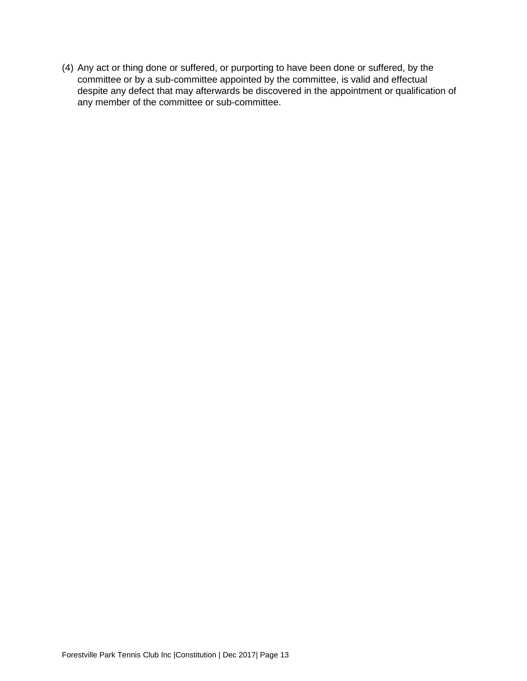(4) Any act or thing done or suffered, or purporting to have been done or suffered, by the committee or by a sub-committee appointed by the committee, is valid and effectual despite any defect that may afterwards be discovered in the appointment or qualification of any member of the committee or sub-committee.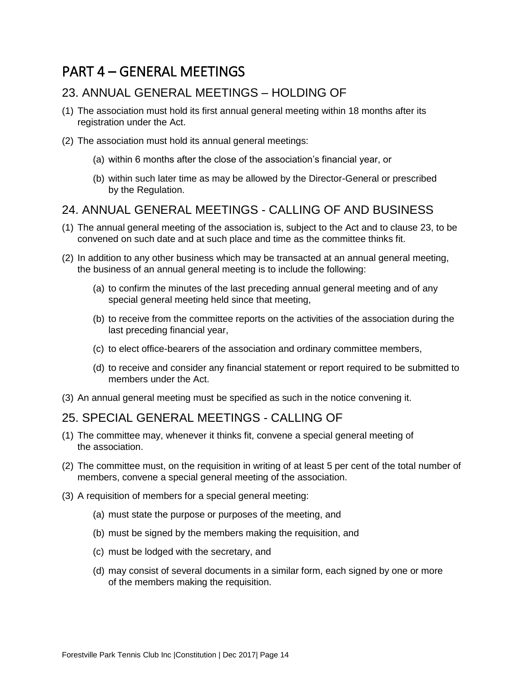# <span id="page-14-0"></span>PART 4 – GENERAL MEETINGS

#### 23. ANNUAL GENERAL MEETINGS – HOLDING OF

- (1) The association must hold its first annual general meeting within 18 months after its registration under the Act.
- (2) The association must hold its annual general meetings:
	- (a) within 6 months after the close of the association's financial year, or
	- (b) within such later time as may be allowed by the Director-General or prescribed by the Regulation.

#### 24. ANNUAL GENERAL MEETINGS - CALLING OF AND BUSINESS

- (1) The annual general meeting of the association is, subject to the Act and to clause 23, to be convened on such date and at such place and time as the committee thinks fit.
- (2) In addition to any other business which may be transacted at an annual general meeting, the business of an annual general meeting is to include the following:
	- (a) to confirm the minutes of the last preceding annual general meeting and of any special general meeting held since that meeting,
	- (b) to receive from the committee reports on the activities of the association during the last preceding financial year,
	- (c) to elect office-bearers of the association and ordinary committee members,
	- (d) to receive and consider any financial statement or report required to be submitted to members under the Act.
- (3) An annual general meeting must be specified as such in the notice convening it.

#### 25. SPECIAL GENERAL MEETINGS - CALLING OF

- (1) The committee may, whenever it thinks fit, convene a special general meeting of the association.
- (2) The committee must, on the requisition in writing of at least 5 per cent of the total number of members, convene a special general meeting of the association.
- (3) A requisition of members for a special general meeting:
	- (a) must state the purpose or purposes of the meeting, and
	- (b) must be signed by the members making the requisition, and
	- (c) must be lodged with the secretary, and
	- (d) may consist of several documents in a similar form, each signed by one or more of the members making the requisition.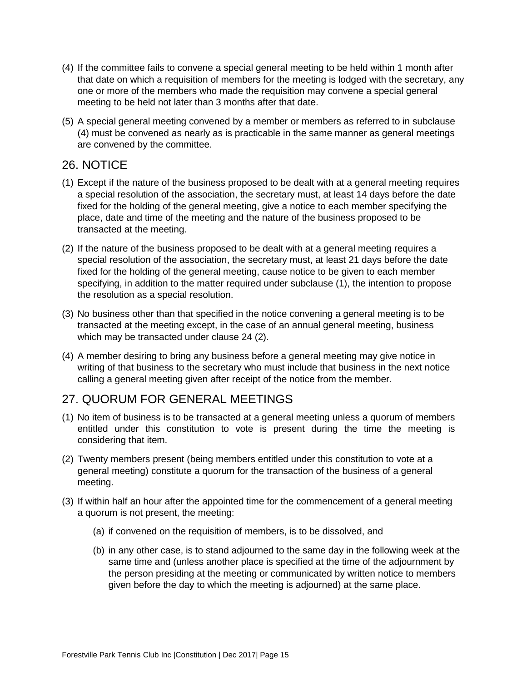- <span id="page-15-0"></span>(4) If the committee fails to convene a special general meeting to be held within 1 month after that date on which a requisition of members for the meeting is lodged with the secretary, any one or more of the members who made the requisition may convene a special general meeting to be held not later than 3 months after that date.
- (5) A special general meeting convened by a member or members as referred to in subclause (4) must be convened as nearly as is practicable in the same manner as general meetings are convened by the committee.

#### 26. NOTICE

- (1) Except if the nature of the business proposed to be dealt with at a general meeting requires a special resolution of the association, the secretary must, at least 14 days before the date fixed for the holding of the general meeting, give a notice to each member specifying the place, date and time of the meeting and the nature of the business proposed to be transacted at the meeting.
- (2) If the nature of the business proposed to be dealt with at a general meeting requires a special resolution of the association, the secretary must, at least 21 days before the date fixed for the holding of the general meeting, cause notice to be given to each member specifying, in addition to the matter required under subclause (1), the intention to propose the resolution as a special resolution.
- (3) No business other than that specified in the notice convening a general meeting is to be transacted at the meeting except, in the case of an annual general meeting, business which may be transacted under clause 24 (2).
- (4) A member desiring to bring any business before a general meeting may give notice in writing of that business to the secretary who must include that business in the next notice calling a general meeting given after receipt of the notice from the member.

## 27. QUORUM FOR GENERAL MEETINGS

- (1) No item of business is to be transacted at a general meeting unless a quorum of members entitled under this constitution to vote is present during the time the meeting is considering that item.
- (2) Twenty members present (being members entitled under this constitution to vote at a general meeting) constitute a quorum for the transaction of the business of a general meeting.
- (3) If within half an hour after the appointed time for the commencement of a general meeting a quorum is not present, the meeting:
	- (a) if convened on the requisition of members, is to be dissolved, and
	- (b) in any other case, is to stand adjourned to the same day in the following week at the same time and (unless another place is specified at the time of the adjournment by the person presiding at the meeting or communicated by written notice to members given before the day to which the meeting is adjourned) at the same place.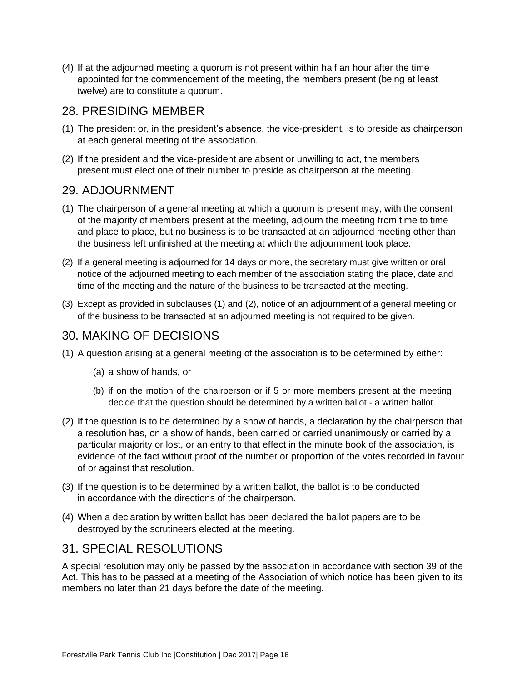<span id="page-16-0"></span>(4) If at the adjourned meeting a quorum is not present within half an hour after the time appointed for the commencement of the meeting, the members present (being at least twelve) are to constitute a quorum.

#### 28. PRESIDING MEMBER

- (1) The president or, in the president's absence, the vice-president, is to preside as chairperson at each general meeting of the association.
- (2) If the president and the vice-president are absent or unwilling to act, the members present must elect one of their number to preside as chairperson at the meeting.

#### 29. ADJOURNMENT

- (1) The chairperson of a general meeting at which a quorum is present may, with the consent of the majority of members present at the meeting, adjourn the meeting from time to time and place to place, but no business is to be transacted at an adjourned meeting other than the business left unfinished at the meeting at which the adjournment took place.
- (2) If a general meeting is adjourned for 14 days or more, the secretary must give written or oral notice of the adjourned meeting to each member of the association stating the place, date and time of the meeting and the nature of the business to be transacted at the meeting.
- (3) Except as provided in subclauses (1) and (2), notice of an adjournment of a general meeting or of the business to be transacted at an adjourned meeting is not required to be given.

#### 30. MAKING OF DECISIONS

- (1) A question arising at a general meeting of the association is to be determined by either:
	- (a) a show of hands, or
	- (b) if on the motion of the chairperson or if 5 or more members present at the meeting decide that the question should be determined by a written ballot - a written ballot.
- (2) If the question is to be determined by a show of hands, a declaration by the chairperson that a resolution has, on a show of hands, been carried or carried unanimously or carried by a particular majority or lost, or an entry to that effect in the minute book of the association, is evidence of the fact without proof of the number or proportion of the votes recorded in favour of or against that resolution.
- (3) If the question is to be determined by a written ballot, the ballot is to be conducted in accordance with the directions of the chairperson.
- (4) When a declaration by written ballot has been declared the ballot papers are to be destroyed by the scrutineers elected at the meeting.

#### 31. SPECIAL RESOLUTIONS

A special resolution may only be passed by the association in accordance with section 39 of the Act. This has to be passed at a meeting of the Association of which notice has been given to its members no later than 21 days before the date of the meeting.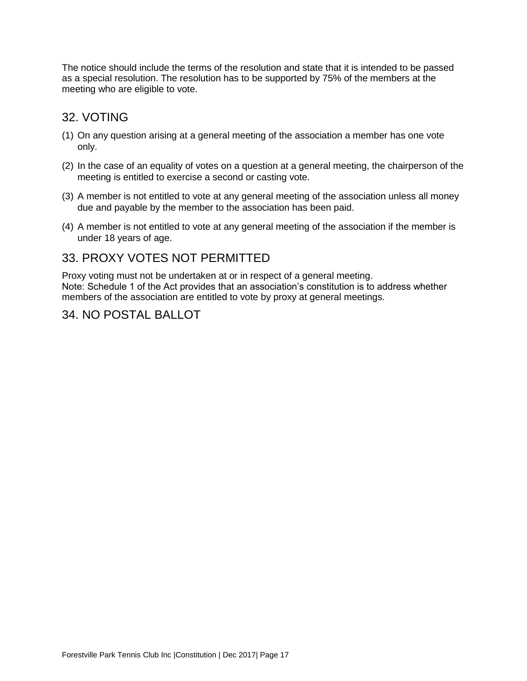<span id="page-17-0"></span>The notice should include the terms of the resolution and state that it is intended to be passed as a special resolution. The resolution has to be supported by 75% of the members at the meeting who are eligible to vote.

## 32. VOTING

- (1) On any question arising at a general meeting of the association a member has one vote only.
- (2) In the case of an equality of votes on a question at a general meeting, the chairperson of the meeting is entitled to exercise a second or casting vote.
- (3) A member is not entitled to vote at any general meeting of the association unless all money due and payable by the member to the association has been paid.
- (4) A member is not entitled to vote at any general meeting of the association if the member is under 18 years of age.

#### 33. PROXY VOTES NOT PERMITTED

Proxy voting must not be undertaken at or in respect of a general meeting. Note: Schedule 1 of the Act provides that an association's constitution is to address whether members of the association are entitled to vote by proxy at general meetings.

#### 34. NO POSTAL BALLOT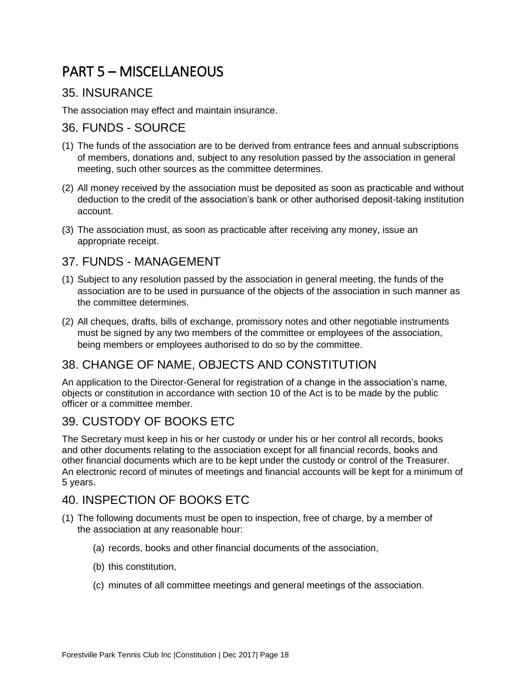# <span id="page-18-0"></span>PART 5 – MISCELLANEOUS

#### 35. INSURANCE

The association may effect and maintain insurance.

#### 36. FUNDS - SOURCE

- (1) The funds of the association are to be derived from entrance fees and annual subscriptions of members, donations and, subject to any resolution passed by the association in general meeting, such other sources as the committee determines.
- (2) All money received by the association must be deposited as soon as practicable and without deduction to the credit of the association's bank or other authorised deposit-taking institution account.
- (3) The association must, as soon as practicable after receiving any money, issue an appropriate receipt.

#### 37. FUNDS - MANAGEMENT

- (1) Subject to any resolution passed by the association in general meeting, the funds of the association are to be used in pursuance of the objects of the association in such manner as the committee determines.
- (2) All cheques, drafts, bills of exchange, promissory notes and other negotiable instruments must be signed by any two members of the committee or employees of the association, being members or employees authorised to do so by the committee.

## 38. CHANGE OF NAME, OBJECTS AND CONSTITUTION

An application to the Director-General for registration of a change in the association's name, objects or constitution in accordance with section 10 of the Act is to be made by the public officer or a committee member.

## 39. CUSTODY OF BOOKS ETC

The Secretary must keep in his or her custody or under his or her control all records, books and other documents relating to the association except for all financial records, books and other financial documents which are to be kept under the custody or control of the Treasurer. An electronic record of minutes of meetings and financial accounts will be kept for a minimum of 5 years.

## 40. INSPECTION OF BOOKS ETC

- (1) The following documents must be open to inspection, free of charge, by a member of the association at any reasonable hour:
	- (a) records, books and other financial documents of the association,
	- (b) this constitution,
	- (c) minutes of all committee meetings and general meetings of the association.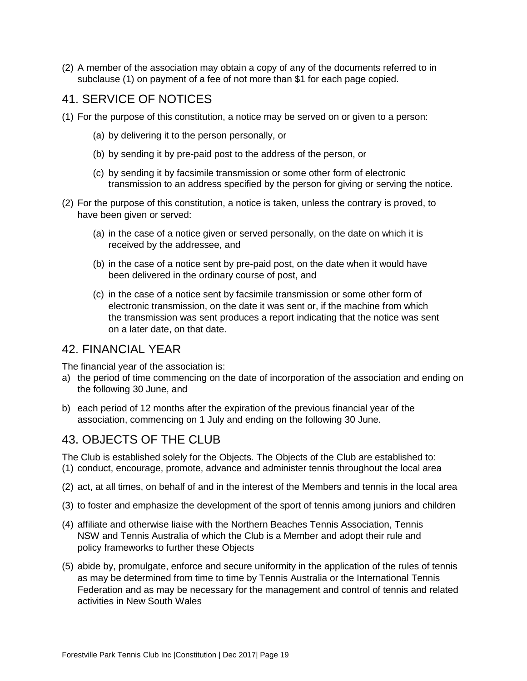<span id="page-19-0"></span>(2) A member of the association may obtain a copy of any of the documents referred to in subclause (1) on payment of a fee of not more than \$1 for each page copied.

#### 41. SERVICE OF NOTICES

- (1) For the purpose of this constitution, a notice may be served on or given to a person:
	- (a) by delivering it to the person personally, or
	- (b) by sending it by pre-paid post to the address of the person, or
	- (c) by sending it by facsimile transmission or some other form of electronic transmission to an address specified by the person for giving or serving the notice.
- (2) For the purpose of this constitution, a notice is taken, unless the contrary is proved, to have been given or served:
	- (a) in the case of a notice given or served personally, on the date on which it is received by the addressee, and
	- (b) in the case of a notice sent by pre-paid post, on the date when it would have been delivered in the ordinary course of post, and
	- (c) in the case of a notice sent by facsimile transmission or some other form of electronic transmission, on the date it was sent or, if the machine from which the transmission was sent produces a report indicating that the notice was sent on a later date, on that date.

#### 42. FINANCIAL YEAR

The financial year of the association is:

- a) the period of time commencing on the date of incorporation of the association and ending on the following 30 June, and
- b) each period of 12 months after the expiration of the previous financial year of the association, commencing on 1 July and ending on the following 30 June.

#### 43. OBJECTS OF THE CLUB

The Club is established solely for the Objects. The Objects of the Club are established to: (1) conduct, encourage, promote, advance and administer tennis throughout the local area

- (2) act, at all times, on behalf of and in the interest of the Members and tennis in the local area
- (3) to foster and emphasize the development of the sport of tennis among juniors and children
- (4) affiliate and otherwise liaise with the Northern Beaches Tennis Association, Tennis NSW and Tennis Australia of which the Club is a Member and adopt their rule and policy frameworks to further these Objects
- (5) abide by, promulgate, enforce and secure uniformity in the application of the rules of tennis as may be determined from time to time by Tennis Australia or the International Tennis Federation and as may be necessary for the management and control of tennis and related activities in New South Wales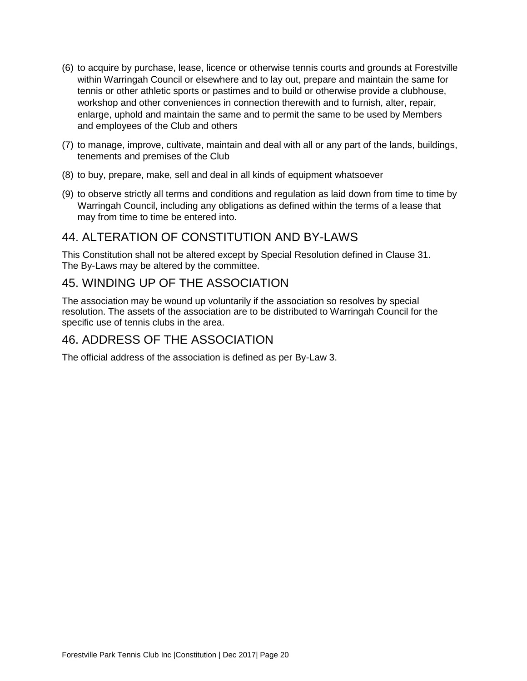- <span id="page-20-0"></span>(6) to acquire by purchase, lease, licence or otherwise tennis courts and grounds at Forestville within Warringah Council or elsewhere and to lay out, prepare and maintain the same for tennis or other athletic sports or pastimes and to build or otherwise provide a clubhouse, workshop and other conveniences in connection therewith and to furnish, alter, repair, enlarge, uphold and maintain the same and to permit the same to be used by Members and employees of the Club and others
- (7) to manage, improve, cultivate, maintain and deal with all or any part of the lands, buildings, tenements and premises of the Club
- (8) to buy, prepare, make, sell and deal in all kinds of equipment whatsoever
- (9) to observe strictly all terms and conditions and regulation as laid down from time to time by Warringah Council, including any obligations as defined within the terms of a lease that may from time to time be entered into.

#### 44. ALTERATION OF CONSTITUTION AND BY-LAWS

This Constitution shall not be altered except by Special Resolution defined in Clause 31. The By-Laws may be altered by the committee.

#### 45. WINDING UP OF THE ASSOCIATION

The association may be wound up voluntarily if the association so resolves by special resolution. The assets of the association are to be distributed to Warringah Council for the specific use of tennis clubs in the area.

#### 46. ADDRESS OF THE ASSOCIATION

The official address of the association is defined as per By-Law 3.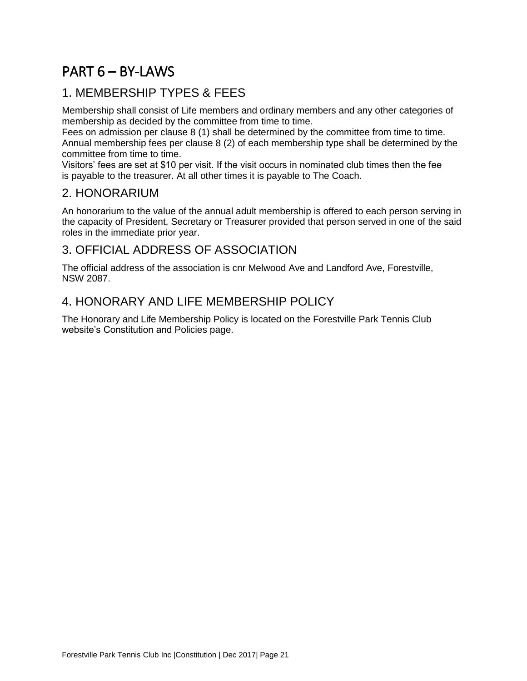# <span id="page-21-0"></span>PART 6 – BY-LAWS

#### 1. MEMBERSHIP TYPES & FEES

Membership shall consist of Life members and ordinary members and any other categories of membership as decided by the committee from time to time.

Fees on admission per clause 8 (1) shall be determined by the committee from time to time. Annual membership fees per clause 8 (2) of each membership type shall be determined by the committee from time to time.

Visitors' fees are set at \$10 per visit. If the visit occurs in nominated club times then the fee is payable to the treasurer. At all other times it is payable to The Coach.

#### 2. HONORARIUM

An honorarium to the value of the annual adult membership is offered to each person serving in the capacity of President, Secretary or Treasurer provided that person served in one of the said roles in the immediate prior year.

#### 3. OFFICIAL ADDRESS OF ASSOCIATION

The official address of the association is cnr Melwood Ave and Landford Ave, Forestville, NSW 2087.

## 4. HONORARY AND LIFE MEMBERSHIP POLICY

The Honorary and Life Membership Policy is located on the Forestville Park Tennis Club website's Constitution and Policies page.